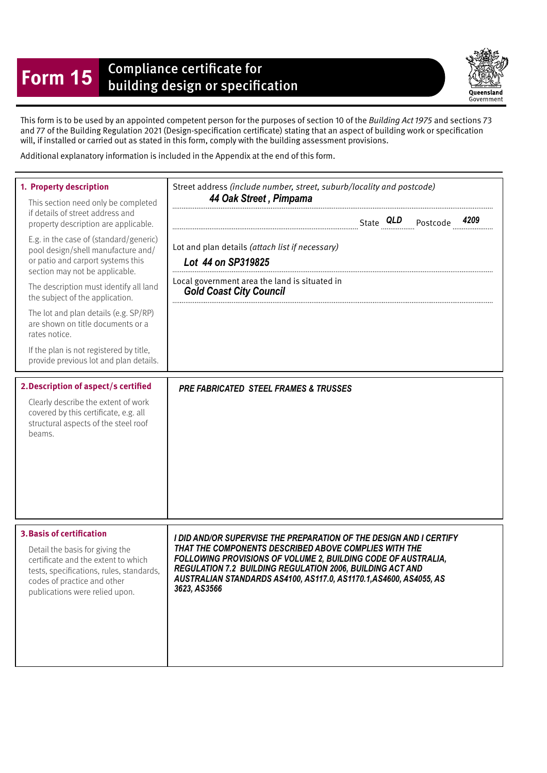## **Form 15** Compliance certificate for<br>building design or specification



This form is to be used by an appointed competent person for the purposes of section 10 of the Building Act 1975 and sections 73 and 77 of the Building Regulation 2021 (Design-specifcation certifcate) stating that an aspect of building work or specifcation will, if installed or carried out as stated in this form, comply with the building assessment provisions.

Additional explanatory information is included in the Appendix at the end of this form.

| 1. Property description<br>This section need only be completed<br>if details of street address and<br>property description are applicable.<br>E.g. in the case of (standard/generic)<br>pool design/shell manufacture and/<br>or patio and carport systems this<br>section may not be applicable.<br>The description must identify all land<br>the subject of the application.<br>The lot and plan details (e.g. SP/RP)<br>are shown on title documents or a<br>rates notice.<br>If the plan is not registered by title,<br>provide previous lot and plan details. | Street address (include number, street, suburb/locality and postcode)<br>44 Oak Street, Pimpama<br>Lot and plan details (attach list if necessary)<br>Lot 44 on SP319825<br>Local government area the land is situated in<br><b>Gold Coast City Council</b>                                                                                    |
|--------------------------------------------------------------------------------------------------------------------------------------------------------------------------------------------------------------------------------------------------------------------------------------------------------------------------------------------------------------------------------------------------------------------------------------------------------------------------------------------------------------------------------------------------------------------|------------------------------------------------------------------------------------------------------------------------------------------------------------------------------------------------------------------------------------------------------------------------------------------------------------------------------------------------|
| 2. Description of aspect/s certified<br>Clearly describe the extent of work<br>covered by this certificate, e.g. all<br>structural aspects of the steel roof<br>beams.                                                                                                                                                                                                                                                                                                                                                                                             | <b>PRE FABRICATED STEEL FRAMES &amp; TRUSSES</b>                                                                                                                                                                                                                                                                                               |
| <b>3. Basis of certification</b><br>Detail the basis for giving the<br>certificate and the extent to which<br>tests, specifications, rules, standards,<br>codes of practice and other<br>publications were relied upon.                                                                                                                                                                                                                                                                                                                                            | I DID AND/OR SUPERVISE THE PREPARATION OF THE DESIGN AND I CERTIFY<br>THAT THE COMPONENTS DESCRIBED ABOVE COMPLIES WITH THE<br>FOLLOWING PROVISIONS OF VOLUME 2, BUILDING CODE OF AUSTRALIA,<br>REGULATION 7.2 BUILDING REGULATION 2006, BUILDING ACT AND<br>AUSTRALIAN STANDARDS AS4100, AS117.0, AS1170.1,AS4600, AS4055, AS<br>3623, AS3566 |